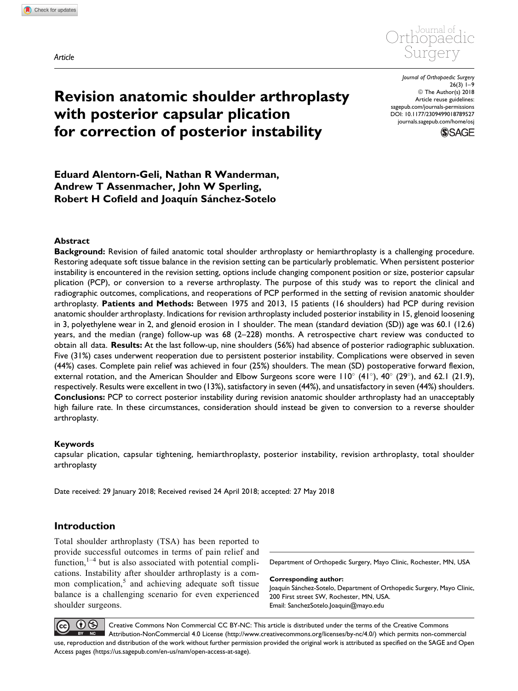

Journal of Orthopaedic Surgery  $26(3) 1-9$ © The Author(s) 2018 Article reuse guidelines: [sagepub.com/journals-permissions](https://sagepub.com/journals-permissions) [DOI: 10.1177/2309499018789527](https://doi.org/10.1177/2309499018789527) [journals.sagepub.com/home/osj](http://journals.sagepub.com/home/osj)



Revision anatomic shoulder arthroplasty with posterior capsular plication for correction of posterior instability

Eduard Alentorn-Geli, Nathan R Wanderman, Andrew T Assenmacher, John W Sperling, Robert H Cofield and Joaquín Sánchez-Sotelo

#### Abstract

Background: Revision of failed anatomic total shoulder arthroplasty or hemiarthroplasty is a challenging procedure. Restoring adequate soft tissue balance in the revision setting can be particularly problematic. When persistent posterior instability is encountered in the revision setting, options include changing component position or size, posterior capsular plication (PCP), or conversion to a reverse arthroplasty. The purpose of this study was to report the clinical and radiographic outcomes, complications, and reoperations of PCP performed in the setting of revision anatomic shoulder arthroplasty. Patients and Methods: Between 1975 and 2013, 15 patients (16 shoulders) had PCP during revision anatomic shoulder arthroplasty. Indications for revision arthroplasty included posterior instability in 15, glenoid loosening in 3, polyethylene wear in 2, and glenoid erosion in 1 shoulder. The mean (standard deviation (SD)) age was 60.1 (12.6) years, and the median (range) follow-up was 68 (2–228) months. A retrospective chart review was conducted to obtain all data. Results: At the last follow-up, nine shoulders (56%) had absence of posterior radiographic subluxation. Five (31%) cases underwent reoperation due to persistent posterior instability. Complications were observed in seven (44%) cases. Complete pain relief was achieved in four (25%) shoulders. The mean (SD) postoperative forward flexion, external rotation, and the American Shoulder and Elbow Surgeons score were 110° (41°), 40° (29°), and 62.1 (21.9), respectively. Results were excellent in two (13%), satisfactory in seven (44%), and unsatisfactory in seven (44%) shoulders. Conclusions: PCP to correct posterior instability during revision anatomic shoulder arthroplasty had an unacceptably high failure rate. In these circumstances, consideration should instead be given to conversion to a reverse shoulder arthroplasty.

#### Keywords

capsular plication, capsular tightening, hemiarthroplasty, posterior instability, revision arthroplasty, total shoulder arthroplasty

Date received: 29 January 2018; Received revised 24 April 2018; accepted: 27 May 2018

# Introduction

Total shoulder arthroplasty (TSA) has been reported to provide successful outcomes in terms of pain relief and function, $1-4$  but is also associated with potential complications. Instability after shoulder arthroplasty is a common complication,<sup>5</sup> and achieving adequate soft tissue balance is a challenging scenario for even experienced shoulder surgeons.

Department of Orthopedic Surgery, Mayo Clinic, Rochester, MN, USA

Corresponding author: Joaquín Sánchez-Sotelo, Department of Orthopedic Surgery, Mayo Clinic, 200 First street SW, Rochester, MN, USA. Email: [SanchezSotelo.Joaquin@mayo.edu](mailto:SanchezSotelo.Joaquin@mayo.edu)

 $\left( \mathbf{r} \right)$ Creative Commons Non Commercial CC BY-NC: This article is distributed under the terms of the Creative Commons (cc Attribution-NonCommercial 4.0 License (http://www.creativecommons.org/licenses/by-nc/4.0/) which permits non-commercial use, reproduction and distribution of the work without further permission provided the original work is attributed as specified on the SAGE and Open Access pages (<https://us.sagepub.com/en-us/nam/open-access-at-sage>).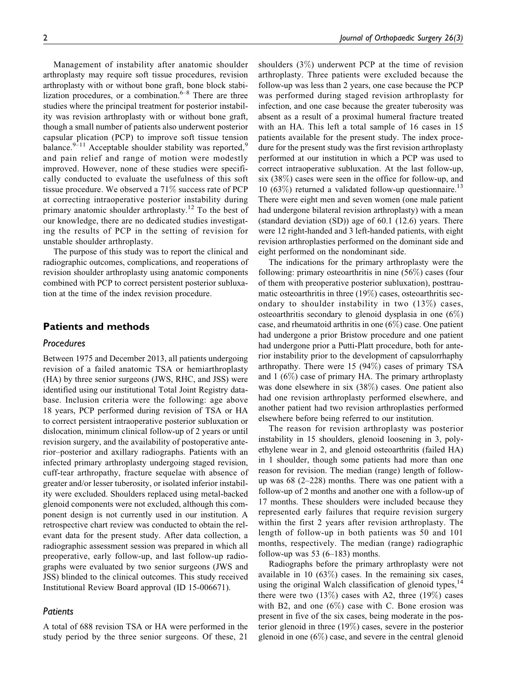Management of instability after anatomic shoulder arthroplasty may require soft tissue procedures, revision arthroplasty with or without bone graft, bone block stabilization procedures, or a combination. $6-8$  There are three studies where the principal treatment for posterior instability was revision arthroplasty with or without bone graft, though a small number of patients also underwent posterior capsular plication (PCP) to improve soft tissue tension balance. $9-11$  Acceptable shoulder stability was reported,<sup>9</sup> and pain relief and range of motion were modestly improved. However, none of these studies were specifically conducted to evaluate the usefulness of this soft tissue procedure. We observed a 71% success rate of PCP at correcting intraoperative posterior instability during primary anatomic shoulder arthroplasty.<sup>12</sup> To the best of our knowledge, there are no dedicated studies investigating the results of PCP in the setting of revision for unstable shoulder arthroplasty.

The purpose of this study was to report the clinical and radiographic outcomes, complications, and reoperations of revision shoulder arthroplasty using anatomic components combined with PCP to correct persistent posterior subluxation at the time of the index revision procedure.

## Patients and methods

#### Procedures

Between 1975 and December 2013, all patients undergoing revision of a failed anatomic TSA or hemiarthroplasty (HA) by three senior surgeons (JWS, RHC, and JSS) were identified using our institutional Total Joint Registry database. Inclusion criteria were the following: age above 18 years, PCP performed during revision of TSA or HA to correct persistent intraoperative posterior subluxation or dislocation, minimum clinical follow-up of 2 years or until revision surgery, and the availability of postoperative anterior–posterior and axillary radiographs. Patients with an infected primary arthroplasty undergoing staged revision, cuff-tear arthropathy, fracture sequelae with absence of greater and/or lesser tuberosity, or isolated inferior instability were excluded. Shoulders replaced using metal-backed glenoid components were not excluded, although this component design is not currently used in our institution. A retrospective chart review was conducted to obtain the relevant data for the present study. After data collection, a radiographic assessment session was prepared in which all preoperative, early follow-up, and last follow-up radiographs were evaluated by two senior surgeons (JWS and JSS) blinded to the clinical outcomes. This study received Institutional Review Board approval (ID 15-006671).

### **Patients**

A total of 688 revision TSA or HA were performed in the study period by the three senior surgeons. Of these, 21

shoulders  $(3\%)$  underwent PCP at the time of revision arthroplasty. Three patients were excluded because the follow-up was less than 2 years, one case because the PCP was performed during staged revision arthroplasty for infection, and one case because the greater tuberosity was absent as a result of a proximal humeral fracture treated with an HA. This left a total sample of 16 cases in 15 patients available for the present study. The index procedure for the present study was the first revision arthroplasty performed at our institution in which a PCP was used to correct intraoperative subluxation. At the last follow-up, six (38%) cases were seen in the office for follow-up, and 10 (63\%) returned a validated follow-up questionnaire.<sup>13</sup> There were eight men and seven women (one male patient had undergone bilateral revision arthroplasty) with a mean (standard deviation (SD)) age of 60.1 (12.6) years. There were 12 right-handed and 3 left-handed patients, with eight revision arthroplasties performed on the dominant side and eight performed on the nondominant side.

The indications for the primary arthroplasty were the following: primary osteoarthritis in nine (56%) cases (four of them with preoperative posterior subluxation), posttraumatic osteoarthritis in three (19%) cases, osteoarthritis secondary to shoulder instability in two (13%) cases, osteoarthritis secondary to glenoid dysplasia in one (6%) case, and rheumatoid arthritis in one (6%) case. One patient had undergone a prior Bristow procedure and one patient had undergone prior a Putti-Platt procedure, both for anterior instability prior to the development of capsulorrhaphy arthropathy. There were 15 (94%) cases of primary TSA and  $1(6\%)$  case of primary HA. The primary arthroplasty was done elsewhere in six (38%) cases. One patient also had one revision arthroplasty performed elsewhere, and another patient had two revision arthroplasties performed elsewhere before being referred to our institution.

The reason for revision arthroplasty was posterior instability in 15 shoulders, glenoid loosening in 3, polyethylene wear in 2, and glenoid osteoarthritis (failed HA) in 1 shoulder, though some patients had more than one reason for revision. The median (range) length of followup was 68 (2–228) months. There was one patient with a follow-up of 2 months and another one with a follow-up of 17 months. These shoulders were included because they represented early failures that require revision surgery within the first 2 years after revision arthroplasty. The length of follow-up in both patients was 50 and 101 months, respectively. The median (range) radiographic follow-up was  $53$  (6–183) months.

Radiographs before the primary arthroplasty were not available in 10  $(63\%)$  cases. In the remaining six cases, using the original Walch classification of glenoid types,<sup>14</sup> there were two  $(13\%)$  cases with A2, three  $(19\%)$  cases with B2, and one  $(6\%)$  case with C. Bone erosion was present in five of the six cases, being moderate in the posterior glenoid in three (19%) cases, severe in the posterior glenoid in one  $(6\%)$  case, and severe in the central glenoid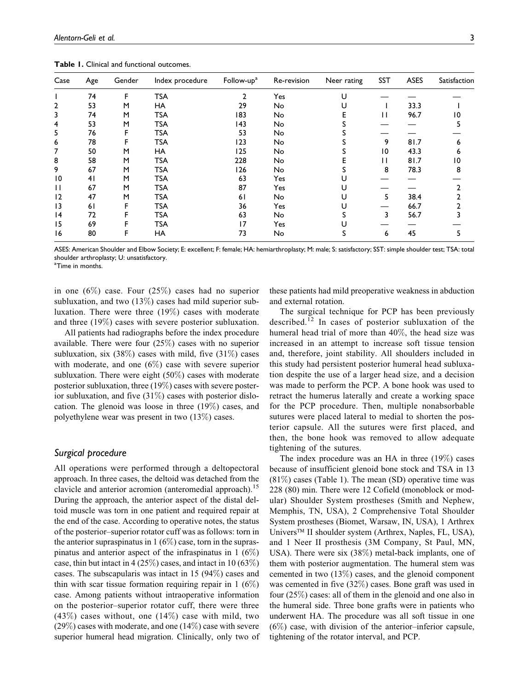| Case            | Age | Gender | Index procedure | Follow-up <sup>a</sup> | Re-revision | Neer rating | <b>SST</b>   | ASES | Satisfaction |
|-----------------|-----|--------|-----------------|------------------------|-------------|-------------|--------------|------|--------------|
|                 | 74  | F      | <b>TSA</b>      |                        | Yes         | U           |              |      |              |
| 2               | 53  | М      | НA              | 29                     | No          |             |              | 33.3 |              |
| 3               | 74  | М      | <b>TSA</b>      | 183                    | No          |             | $\mathsf{I}$ | 96.7 | 10           |
| 4               | 53  | М      | <b>TSA</b>      | 143                    | No          |             |              |      |              |
| 5               | 76  | F      | <b>TSA</b>      | 53                     | No          |             |              |      |              |
| 6               | 78  | F      | <b>TSA</b>      | 123                    | No          |             | 9            | 81.7 |              |
| 7               | 50  | M      | HA              | 125                    | No          |             | 10           | 43.3 |              |
| 8               | 58  | М      | <b>TSA</b>      | 228                    | No          |             | П            | 81.7 | 10           |
| 9               | 67  | M      | <b>TSA</b>      | 126                    | No          |             | 8            | 78.3 | 8            |
| $\overline{10}$ | 41  | M      | <b>TSA</b>      | 63                     | Yes         |             |              |      |              |
| П               | 67  | M      | <b>TSA</b>      | 87                     | Yes         |             |              |      |              |
| 12              | 47  | M      | <b>TSA</b>      | 61                     | No          |             | 5            | 38.4 |              |
| 13              | 61  |        | <b>TSA</b>      | 36                     | Yes         |             |              | 66.7 |              |
| $\overline{14}$ | 72  |        | <b>TSA</b>      | 63                     | No          |             | 3            | 56.7 |              |
| 15              | 69  |        | <b>TSA</b>      | 17                     | Yes         |             |              |      |              |
| 16              | 80  | F      | HA              | 73                     | No          |             | 6            | 45   |              |

Table 1. Clinical and functional outcomes.

ASES: American Shoulder and Elbow Society; E: excellent; F: female; HA: hemiarthroplasty; M: male; S: satisfactory; SST: simple shoulder test; TSA: total shoulder arthroplasty; U: unsatisfactory.

a Time in months.

in one  $(6\%)$  case. Four  $(25\%)$  cases had no superior subluxation, and two  $(13\%)$  cases had mild superior subluxation. There were three (19%) cases with moderate and three (19%) cases with severe posterior subluxation.

All patients had radiographs before the index procedure available. There were four (25%) cases with no superior subluxation, six  $(38\%)$  cases with mild, five  $(31\%)$  cases with moderate, and one (6%) case with severe superior subluxation. There were eight (50%) cases with moderate posterior subluxation, three (19%) cases with severe posterior subluxation, and five (31%) cases with posterior dislocation. The glenoid was loose in three (19%) cases, and polyethylene wear was present in two (13%) cases.

#### Surgical procedure

All operations were performed through a deltopectoral approach. In three cases, the deltoid was detached from the clavicle and anterior acromion (anteromedial approach).<sup>15</sup> During the approach, the anterior aspect of the distal deltoid muscle was torn in one patient and required repair at the end of the case. According to operative notes, the status of the posterior–superior rotator cuff was as follows: torn in the anterior supraspinatus in  $1(6\%)$  case, torn in the supraspinatus and anterior aspect of the infraspinatus in  $1 \ (6\%)$ case, thin but intact in 4 (25%) cases, and intact in 10 (63%) cases. The subscapularis was intact in 15 (94%) cases and thin with scar tissue formation requiring repair in  $1 \ (6\%)$ case. Among patients without intraoperative information on the posterior–superior rotator cuff, there were three (43%) cases without, one (14%) case with mild, two (29%) cases with moderate, and one (14%) case with severe superior humeral head migration. Clinically, only two of these patients had mild preoperative weakness in abduction and external rotation.

The surgical technique for PCP has been previously described.<sup>12</sup> In cases of posterior subluxation of the humeral head trial of more than 40%, the head size was increased in an attempt to increase soft tissue tension and, therefore, joint stability. All shoulders included in this study had persistent posterior humeral head subluxation despite the use of a larger head size, and a decision was made to perform the PCP. A bone hook was used to retract the humerus laterally and create a working space for the PCP procedure. Then, multiple nonabsorbable sutures were placed lateral to medial to shorten the posterior capsule. All the sutures were first placed, and then, the bone hook was removed to allow adequate tightening of the sutures.

The index procedure was an HA in three (19%) cases because of insufficient glenoid bone stock and TSA in 13  $(81\%)$  cases (Table 1). The mean (SD) operative time was 228 (80) min. There were 12 Cofield (monoblock or modular) Shoulder System prostheses (Smith and Nephew, Memphis, TN, USA), 2 Comprehensive Total Shoulder System prostheses (Biomet, Warsaw, IN, USA), 1 Arthrex Univers™ II shoulder system (Arthrex, Naples, FL, USA), and 1 Neer II prosthesis (3M Company, St Paul, MN, USA). There were six (38%) metal-back implants, one of them with posterior augmentation. The humeral stem was cemented in two (13%) cases, and the glenoid component was cemented in five (32%) cases. Bone graft was used in four (25%) cases: all of them in the glenoid and one also in the humeral side. Three bone grafts were in patients who underwent HA. The procedure was all soft tissue in one  $(6\%)$  case, with division of the anterior–inferior capsule, tightening of the rotator interval, and PCP.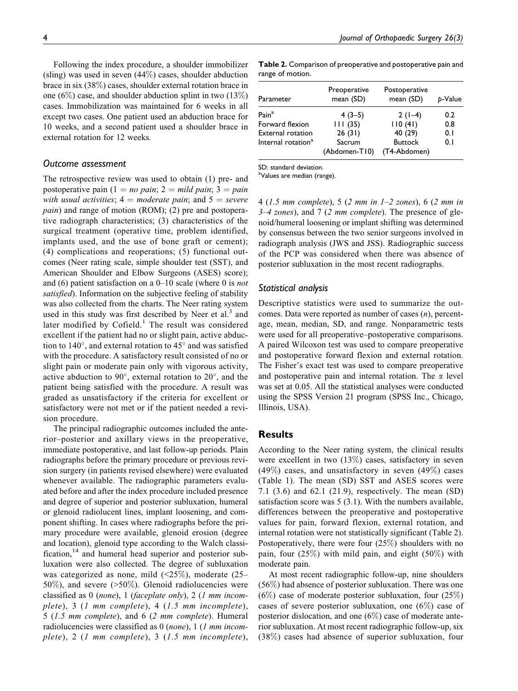Following the index procedure, a shoulder immobilizer (sling) was used in seven  $(44\%)$  cases, shoulder abduction brace in six (38%) cases, shoulder external rotation brace in one  $(6\%)$  case, and shoulder abduction splint in two  $(13\%)$ cases. Immobilization was maintained for 6 weeks in all except two cases. One patient used an abduction brace for 10 weeks, and a second patient used a shoulder brace in external rotation for 12 weeks.

#### Outcome assessment

The retrospective review was used to obtain (1) pre- and postoperative pain (1 = no pain; 2 = mild pain; 3 = pain with usual activities;  $4 =$  moderate pain; and  $5 =$  severe pain) and range of motion (ROM); (2) pre and postoperative radiograph characteristics; (3) characteristics of the surgical treatment (operative time, problem identified, implants used, and the use of bone graft or cement); (4) complications and reoperations; (5) functional outcomes (Neer rating scale, simple shoulder test (SST), and American Shoulder and Elbow Surgeons (ASES) score); and (6) patient satisfaction on a  $0-10$  scale (where 0 is *not* satisfied). Information on the subjective feeling of stability was also collected from the charts. The Neer rating system used in this study was first described by Neer et al.<sup>3</sup> and later modified by Cofield.<sup>1</sup> The result was considered excellent if the patient had no or slight pain, active abduction to  $140^{\circ}$ , and external rotation to  $45^{\circ}$  and was satisfied with the procedure. A satisfactory result consisted of no or slight pain or moderate pain only with vigorous activity, active abduction to  $90^{\circ}$ , external rotation to  $20^{\circ}$ , and the patient being satisfied with the procedure. A result was graded as unsatisfactory if the criteria for excellent or satisfactory were not met or if the patient needed a revision procedure.

The principal radiographic outcomes included the anterior–posterior and axillary views in the preoperative, immediate postoperative, and last follow-up periods. Plain radiographs before the primary procedure or previous revision surgery (in patients revised elsewhere) were evaluated whenever available. The radiographic parameters evaluated before and after the index procedure included presence and degree of superior and posterior subluxation, humeral or glenoid radiolucent lines, implant loosening, and component shifting. In cases where radiographs before the primary procedure were available, glenoid erosion (degree and location), glenoid type according to the Walch classification, $14$  and humeral head superior and posterior subluxation were also collected. The degree of subluxation was categorized as none, mild  $(\leq 25\%)$ , moderate (25– 50%), and severe (>50%). Glenoid radiolucencies were classified as 0 (none), 1 (faceplate only), 2 (1 mm incomplete), 3 (1 mm complete), 4 (1.5 mm incomplete), 5 (1.5 mm complete), and 6 (2 mm complete). Humeral radiolucencies were classified as 0 (none), 1 (1 mm incomplete), 2 (1 mm complete), 3 (1.5 mm incomplete),

Table 2. Comparison of preoperative and postoperative pain and range of motion.

| Parameter                                                                                   | Preoperative<br>mean (SD)                                | Postoperative<br>mean (SD)                                       | p-Value                  |
|---------------------------------------------------------------------------------------------|----------------------------------------------------------|------------------------------------------------------------------|--------------------------|
| Pain <sup>a</sup><br>Forward flexion<br>External rotation<br>Internal rotation <sup>a</sup> | $4(3-5)$<br>111(35)<br>26(31)<br>Sacrum<br>(Abdomen-T10) | $2(1-4)$<br>110(41)<br>40 (29)<br><b>Buttock</b><br>(T4-Abdomen) | 0.2<br>0.8<br>0.1<br>0.1 |

SD: standard deviation.

<sup>a</sup>Values are median (range).

4 (1.5 mm complete), 5 (2 mm in 1–2 zones), 6 (2 mm in  $3-4$  zones), and 7 (2 mm complete). The presence of glenoid/humeral loosening or implant shifting was determined by consensus between the two senior surgeons involved in radiograph analysis (JWS and JSS). Radiographic success of the PCP was considered when there was absence of posterior subluxation in the most recent radiographs.

#### Statistical analysis

Descriptive statistics were used to summarize the outcomes. Data were reported as number of cases  $(n)$ , percentage, mean, median, SD, and range. Nonparametric tests were used for all preoperative–postoperative comparisons. A paired Wilcoxon test was used to compare preoperative and postoperative forward flexion and external rotation. The Fisher's exact test was used to compare preoperative and postoperative pain and internal rotation. The  $\alpha$  level was set at 0.05. All the statistical analyses were conducted using the SPSS Version 21 program (SPSS Inc., Chicago, Illinois, USA).

### **Results**

According to the Neer rating system, the clinical results were excellent in two (13%) cases, satisfactory in seven (49%) cases, and unsatisfactory in seven (49%) cases (Table 1). The mean (SD) SST and ASES scores were 7.1 (3.6) and 62.1 (21.9), respectively. The mean (SD) satisfaction score was 5 (3.1). With the numbers available, differences between the preoperative and postoperative values for pain, forward flexion, external rotation, and internal rotation were not statistically significant (Table 2). Postoperatively, there were four (25%) shoulders with no pain, four (25%) with mild pain, and eight (50%) with moderate pain.

At most recent radiographic follow-up, nine shoulders (56%) had absence of posterior subluxation. There was one  $(6\%)$  case of moderate posterior subluxation, four  $(25\%)$ cases of severe posterior subluxation, one (6%) case of posterior dislocation, and one (6%) case of moderate anterior subluxation. At most recent radiographic follow-up, six (38%) cases had absence of superior subluxation, four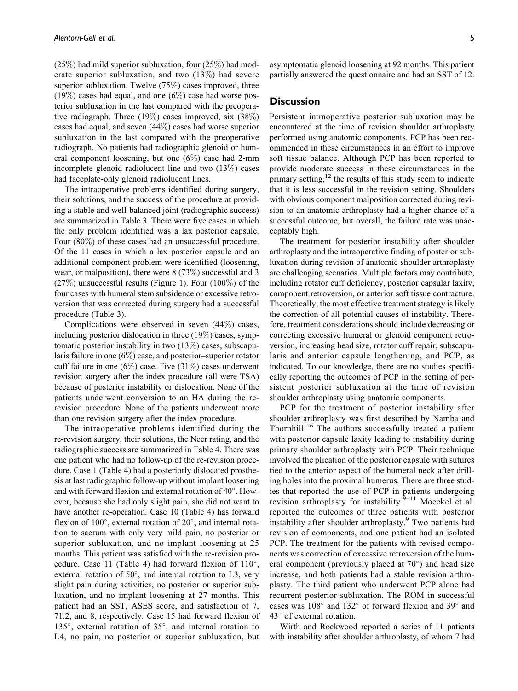$(25\%)$  had mild superior subluxation, four  $(25\%)$  had moderate superior subluxation, and two (13%) had severe superior subluxation. Twelve (75%) cases improved, three  $(19\%)$  cases had equal, and one  $(6\%)$  case had worse posterior subluxation in the last compared with the preoperative radiograph. Three (19%) cases improved, six (38%) cases had equal, and seven (44%) cases had worse superior subluxation in the last compared with the preoperative radiograph. No patients had radiographic glenoid or humeral component loosening, but one  $(6\%)$  case had 2-mm incomplete glenoid radiolucent line and two (13%) cases had faceplate-only glenoid radiolucent lines.

The intraoperative problems identified during surgery, their solutions, and the success of the procedure at providing a stable and well-balanced joint (radiographic success) are summarized in Table 3. There were five cases in which the only problem identified was a lax posterior capsule. Four (80%) of these cases had an unsuccessful procedure. Of the 11 cases in which a lax posterior capsule and an additional component problem were identified (loosening, wear, or malposition), there were 8 (73%) successful and 3  $(27\%)$  unsuccessful results (Figure 1). Four  $(100\%)$  of the four cases with humeral stem subsidence or excessive retroversion that was corrected during surgery had a successful procedure (Table 3).

Complications were observed in seven (44%) cases, including posterior dislocation in three (19%) cases, symptomatic posterior instability in two (13%) cases, subscapularis failure in one (6%) case, and posterior–superior rotator cuff failure in one  $(6\%)$  case. Five  $(31\%)$  cases underwent revision surgery after the index procedure (all were TSA) because of posterior instability or dislocation. None of the patients underwent conversion to an HA during the rerevision procedure. None of the patients underwent more than one revision surgery after the index procedure.

The intraoperative problems identified during the re-revision surgery, their solutions, the Neer rating, and the radiographic success are summarized in Table 4. There was one patient who had no follow-up of the re-revision procedure. Case 1 (Table 4) had a posteriorly dislocated prosthesis at last radiographic follow-up without implant loosening and with forward flexion and external rotation of 40°. However, because she had only slight pain, she did not want to have another re-operation. Case 10 (Table 4) has forward flexion of 100 $^{\circ}$ , external rotation of 20 $^{\circ}$ , and internal rotation to sacrum with only very mild pain, no posterior or superior subluxation, and no implant loosening at 25 months. This patient was satisfied with the re-revision procedure. Case 11 (Table 4) had forward flexion of  $110^\circ$ , external rotation of  $50^\circ$ , and internal rotation to L3, very slight pain during activities, no posterior or superior subluxation, and no implant loosening at 27 months. This patient had an SST, ASES score, and satisfaction of 7, 71.2, and 8, respectively. Case 15 had forward flexion of 135°, external rotation of 35°, and internal rotation to L4, no pain, no posterior or superior subluxation, but

asymptomatic glenoid loosening at 92 months. This patient partially answered the questionnaire and had an SST of 12.

#### **Discussion**

Persistent intraoperative posterior subluxation may be encountered at the time of revision shoulder arthroplasty performed using anatomic components. PCP has been recommended in these circumstances in an effort to improve soft tissue balance. Although PCP has been reported to provide moderate success in these circumstances in the primary setting, $12$  the results of this study seem to indicate that it is less successful in the revision setting. Shoulders with obvious component malposition corrected during revision to an anatomic arthroplasty had a higher chance of a successful outcome, but overall, the failure rate was unacceptably high.

The treatment for posterior instability after shoulder arthroplasty and the intraoperative finding of posterior subluxation during revision of anatomic shoulder arthroplasty are challenging scenarios. Multiple factors may contribute, including rotator cuff deficiency, posterior capsular laxity, component retroversion, or anterior soft tissue contracture. Theoretically, the most effective treatment strategy is likely the correction of all potential causes of instability. Therefore, treatment considerations should include decreasing or correcting excessive humeral or glenoid component retroversion, increasing head size, rotator cuff repair, subscapularis and anterior capsule lengthening, and PCP, as indicated. To our knowledge, there are no studies specifically reporting the outcomes of PCP in the setting of persistent posterior subluxation at the time of revision shoulder arthroplasty using anatomic components.

PCP for the treatment of posterior instability after shoulder arthroplasty was first described by Namba and Thornhill.<sup>16</sup> The authors successfully treated a patient with posterior capsule laxity leading to instability during primary shoulder arthroplasty with PCP. Their technique involved the plication of the posterior capsule with sutures tied to the anterior aspect of the humeral neck after drilling holes into the proximal humerus. There are three studies that reported the use of PCP in patients undergoing revision arthroplasty for instability. $9-11$  Moeckel et al. reported the outcomes of three patients with posterior instability after shoulder arthroplasty.<sup>9</sup> Two patients had revision of components, and one patient had an isolated PCP. The treatment for the patients with revised components was correction of excessive retroversion of the humeral component (previously placed at 70°) and head size increase, and both patients had a stable revision arthroplasty. The third patient who underwent PCP alone had recurrent posterior subluxation. The ROM in successful cases was 108° and 132° of forward flexion and 39° and 43° of external rotation.

Wirth and Rockwood reported a series of 11 patients with instability after shoulder arthroplasty, of whom 7 had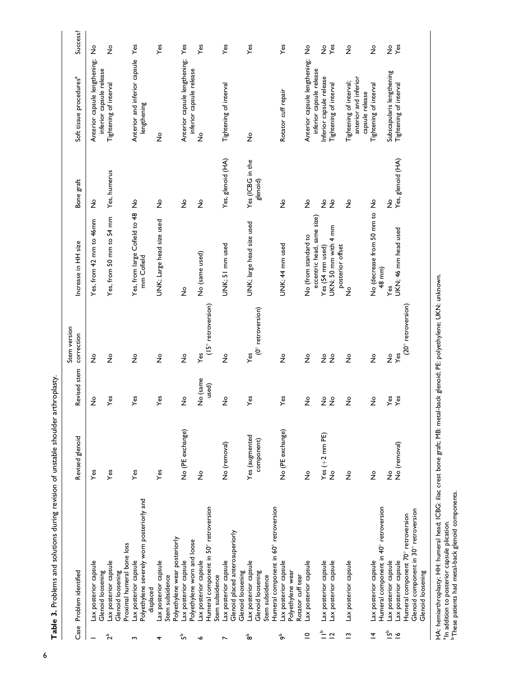|                                 | Table 3. Problems and solutions during revision of unstable shoulder arthroplasty                |                                   |                                |                                |                                             |                                |                                                           |                          |
|---------------------------------|--------------------------------------------------------------------------------------------------|-----------------------------------|--------------------------------|--------------------------------|---------------------------------------------|--------------------------------|-----------------------------------------------------------|--------------------------|
| Case                            | Problem identified                                                                               | Revised glenoid                   | Revised stem                   | Stem version<br>correction     | Increase in HH size                         | Bone graft                     | Soft tissue procedures <sup>a</sup>                       | Success?                 |
|                                 | Lax posterior capsule                                                                            | Yes                               | $\frac{9}{2}$                  | $\frac{1}{2}$                  | Yes, from 42 mm to 46mm                     | $\frac{1}{2}$                  | Anterior capsule lengthening;                             | $\frac{1}{2}$            |
| 2 <sup>b</sup>                  | Lax posterior capsule<br>Glenoid loosening                                                       | Yes                               | Yes                            | $\frac{1}{2}$                  | Yes, from 50 mm to 54 mm                    | Yes, humerus                   | inferior capsule release<br>Tightening of interval        | $\frac{9}{2}$            |
|                                 | Proximal humeral bone loss<br>Glenoid loosening                                                  |                                   |                                |                                |                                             |                                |                                                           |                          |
| S                               | Polyethylene severely worn posteriorly and<br>Lax posterior capsule                              | Yes                               | Yes                            | $\frac{1}{2}$                  | Yes, from large Cofield to 48<br>mm Cofield | $\frac{1}{2}$                  | Anterior and inferior capsule<br>lengthening              | Yes                      |
|                                 | Lax posterior capsule<br>displaced                                                               | Yes                               | Yes                            | $\frac{1}{2}$                  | UNK; Large head size used                   | $\frac{1}{2}$                  | $\frac{1}{2}$                                             | Yes                      |
|                                 | Polyethylene wear posteriorly<br>Stem subsidence                                                 |                                   |                                |                                |                                             |                                |                                                           |                          |
| م<br>ما                         | Polyethylene worn and loose<br>Lax posterior capsule                                             | No (PE exchange)                  | $\frac{1}{2}$                  | $\frac{1}{2}$                  | $\stackrel{\mathtt{o}}{z}$                  | $\frac{1}{2}$                  | Anterior capsule lengthening;<br>inferior capsule release | Yes                      |
| ∾                               | Lax posterior capsule                                                                            | $\frac{1}{2}$                     | No (same                       | Yes                            | No (same used)                              | $\frac{9}{2}$                  | $\frac{1}{2}$                                             | $\mathsf{Yes}$           |
|                                 | Humeral component in 50° retroversion<br>Stem subsidence                                         |                                   | used)                          | (15° retroversion)             |                                             |                                |                                                           |                          |
| $\overline{ }$                  | Glenoid placed anterosuperiorly<br>Lax posterior capsule                                         | No (removal)                      | $\frac{1}{2}$                  | $\frac{1}{2}$                  | UNK; 51 mm used                             | Yes, glenoid (HA)              | Tightening of interval                                    | Yes                      |
|                                 | Glenoid loosening                                                                                |                                   |                                |                                |                                             |                                |                                                           |                          |
| ೊ                               | Lax posterior capsule<br>Glenoid loosening                                                       | Yes (augmented<br>component)      | $Y$ es                         | $(0°$ retroversion)<br>Yes     | UNK; large head size used                   | Yes (ICBG in the<br>glenoid)   | ż                                                         | Yes                      |
|                                 | Humeral component in 60° retroversion<br>Stem subsidence                                         |                                   |                                |                                |                                             |                                |                                                           |                          |
| م<br>م                          | Lax posterior capsule                                                                            | No (PE exchange)                  | Yes                            | $\frac{1}{2}$                  | UNK; 44 mm used                             | $\frac{1}{2}$                  | Rotator cuff repair                                       | Yes                      |
|                                 | Polyethylene wear<br>Rotator cuff tear                                                           |                                   |                                |                                |                                             |                                |                                                           |                          |
| $\overline{\phantom{a}}$        | Lax posterior capsule                                                                            | $\frac{1}{2}$                     | $\frac{1}{2}$                  | $\frac{1}{2}$                  | No (from standard to                        | $\frac{1}{2}$                  | Anterior capsule lengthening;                             | $\frac{1}{2}$            |
|                                 |                                                                                                  |                                   |                                |                                | eccentric head, same size)                  |                                | inferior capsule release                                  |                          |
| $\frac{a}{-}$<br>$\overline{a}$ | Lax posterior capsule                                                                            | Yes $(+2$ mm PE)<br>$\frac{1}{2}$ | $\frac{9}{2}$<br>$\frac{9}{2}$ | $\frac{1}{2}$<br>$\frac{1}{2}$ | Yes (54 mm used)                            | $\frac{1}{2}$<br>$\frac{9}{2}$ | Inferior capsule release                                  | Yes<br>$\frac{\circ}{2}$ |
|                                 | Lax posterior capsule                                                                            |                                   |                                |                                | UKN; 50 mm with 4 mm<br>posterior offset    |                                | Tightening of interval                                    |                          |
| $\tilde{ }$                     | Lax posterior capsule                                                                            | $\frac{1}{2}$                     | $\frac{1}{2}$                  | $\frac{1}{2}$                  | $\frac{1}{2}$                               | $\frac{1}{2}$                  | Tightening of interval;                                   | $\frac{1}{2}$            |
|                                 |                                                                                                  |                                   |                                |                                |                                             |                                | anterior and inferior<br>capsule release                  |                          |
| 호                               | Humeral component in 40° retroversion<br>Lax posterior capsule                                   | $\frac{\circ}{2}$                 | $\frac{1}{2}$                  | $\frac{\circ}{2}$              | No (decrease from 50 mm to<br>48 mm)        | $\frac{6}{5}$                  | Tightening of interval                                    | $\frac{1}{2}$            |
|                                 | Lax posterior capsule                                                                            | $\frac{1}{2}$                     | Yes                            | ż                              | Yes                                         | $\frac{1}{2}$                  | Subscapularis lengthening                                 | $\frac{\circ}{2}$        |
| $\frac{5}{6}$                   | Lax posterior capsule                                                                            | No (removal)                      | Yes                            | Yes                            | UKN; 46 mm head used                        | Yes, glenoid (HA)              | Tightening of interval                                    | Yes                      |
|                                 | Glenoid component in 30° retroversion<br>Humeral component 70° retroversion<br>Glenoid loosening |                                   |                                | (20° retroversion)             |                                             |                                |                                                           |                          |
|                                 |                                                                                                  |                                   |                                |                                |                                             |                                |                                                           |                          |

HA: hemiarthroplasty; HH: humeral head; ICBG: iliac crest bone graft; MB: metal-back glenoid; PE: polyethylene; UKN: unknown.<br><sup>a</sup>ln addition to posterior capsule plication.<br><sup>b</sup>These patients had metal-back glenoid componen HA: hemiarthroplasty; HH: humeral head; ICBG: iliac crest bone graft; MB: metal-back glenoid; PE: polyethylene; UKN: unknown.

<sup>a</sup>In addition to posterior capsule plication.

 $\mathsf{l}$ 

bThese patients had metal-back glenoid components.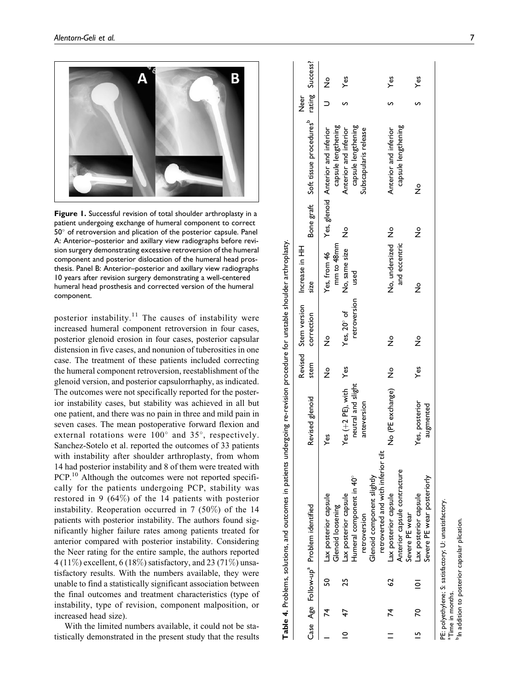

Figure 1. Successful revision of total shoulder arthroplasty in a patient undergoing exchange of humeral component to correct  $50^{\circ}$  of retroversion and plication of the posterior capsule. Panel A: Anterior–posterior and axillary view radiographs before revision surgery demonstrating excessive retroversion of the humeral component and posterior dislocation of the humeral head prosthesis. Panel B: Anterior–posterior and axillary view radiographs 10 years after revision surgery demonstrating a well-centered humeral head prosthesis and corrected version of the humeral component.

posterior instability. $11$  The causes of instability were increased humeral component retroversion in four cases, posterior glenoid erosion in four cases, posterior capsular distension in five cases, and nonunion of tuberosities in one case. The treatment of these patients included correcting the humeral component retroversion, reestablishment of the glenoid version, and posterior capsulorrhaphy, as indicated. The outcomes were not specifically reported for the posterior instability cases, but stability was achieved in all but one patient, and there was no pain in three and mild pain in seven cases. The mean postoperative forward flexion and external rotations were  $100^{\circ}$  and  $35^{\circ}$ , respectively. Sanchez-Sotelo et al. reported the outcomes of 33 patients with instability after shoulder arthroplasty, from whom 14 had posterior instability and 8 of them were treated with PCP.<sup>10</sup> Although the outcomes were not reported specifically for the patients undergoing PCP, stability was restored in 9 (64 %) of the 14 patients with posterior instability. Reoperation occurred in 7 (50 %) of the 14 patients with posterior instability. The authors found significantly higher failure rates among patients treated for anterior compared with posterior instability. Considering the Neer rating for the entire sample, the authors reported 4 (11 %) excellent, 6 (18 %) satisfactory, and 23 (71 %) unsatisfactory results. With the numbers available, they were unable to find a statistically significant association between the final outcomes and treatment characteristics (type of instability, type of revision, component malposition, or increased head size).

With the limited numbers available, it could not be statistically demonstrated in the present study that the results

|    |               | Table 4. Problems, solutions, and outcomes in patients undergoing re-revision procedure for unstable shoulder arthroplasty. |                                   |               |                                                   |                                    |               |                                                                        |      |        |
|----|---------------|-----------------------------------------------------------------------------------------------------------------------------|-----------------------------------|---------------|---------------------------------------------------|------------------------------------|---------------|------------------------------------------------------------------------|------|--------|
|    |               | Case Age Follow-up <sup>a</sup> Problem identified                                                                          | Revised glenoid                   | stem          | Revised Stem version Increase in HH<br>correction | size                               |               | Bone graft Soft tissue procedures <sup>b</sup> rating Success?         | Neer |        |
|    | ន្ល           | Lax posterior capsule<br>Glenoid loosening                                                                                  | Yes                               | $\frac{1}{2}$ | $\frac{1}{2}$                                     | mm to 48mm                         |               | capsule lengthening<br>Yes, from 46 Yes, glenoid Anterior and inferior |      | ž      |
|    | 25            | Lax posterior capsule                                                                                                       | Yes $(+2$ PE), with Yes           |               | Yes, $20^\circ$ of                                | No, same size                      | $\frac{1}{2}$ | Anterior and inferior                                                  |      | Yes    |
|    |               | Humeral component in 40°<br>retroversion                                                                                    | neutral and slight<br>anteversion |               | retroversion                                      | used                               |               | capsule lengthening<br>Subscapularis release                           |      |        |
|    |               | retroverted and with inferior tilt<br>Glenoid component slightly                                                            |                                   |               |                                                   |                                    |               |                                                                        |      |        |
| 74 | S)            | Anterior capsule contracture<br>Lax posterior capsule<br>Severe PE wear                                                     | No (PE exchange)                  | ž             | ž                                                 | No, undersized No<br>and eccentric |               | capsule lengthening<br>Anterior and inferior                           |      | $Y$ es |
|    | $\bar{\circ}$ | Severe PE wear posteriorly<br>Lax posterior capsule                                                                         | Yes, posterior<br>augmented       | yes           | ž                                                 | ž                                  | ž             | ž                                                                      |      | yes    |
|    |               | PE: polyethylene; S: satisfactory; U: unsatisfactory.                                                                       |                                   |               |                                                   |                                    |               |                                                                        |      |        |

aTime in months.

**b**In addition to posterior capsular plication.

<sup>a</sup>Time in months.<br><sup>b</sup>In addition to posterior capsular plication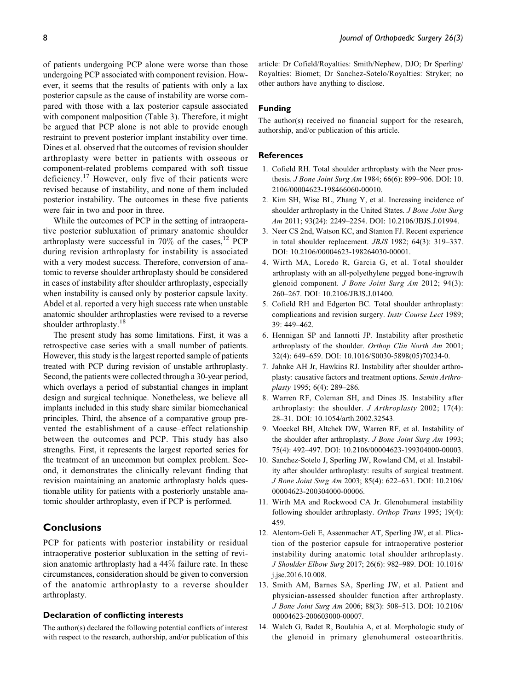of patients undergoing PCP alone were worse than those undergoing PCP associated with component revision. However, it seems that the results of patients with only a lax posterior capsule as the cause of instability are worse compared with those with a lax posterior capsule associated with component malposition (Table 3). Therefore, it might be argued that PCP alone is not able to provide enough restraint to prevent posterior implant instability over time. Dines et al. observed that the outcomes of revision shoulder arthroplasty were better in patients with osseous or component-related problems compared with soft tissue deficiency.<sup>17</sup> However, only five of their patients were revised because of instability, and none of them included posterior instability. The outcomes in these five patients were fair in two and poor in three.

While the outcomes of PCP in the setting of intraoperative posterior subluxation of primary anatomic shoulder arthroplasty were successful in  $70\%$  of the cases,<sup>12</sup> PCP during revision arthroplasty for instability is associated with a very modest success. Therefore, conversion of anatomic to reverse shoulder arthroplasty should be considered in cases of instability after shoulder arthroplasty, especially when instability is caused only by posterior capsule laxity. Abdel et al. reported a very high success rate when unstable anatomic shoulder arthroplasties were revised to a reverse shoulder arthroplasty.<sup>18</sup>

The present study has some limitations. First, it was a retrospective case series with a small number of patients. However, this study is the largest reported sample of patients treated with PCP during revision of unstable arthroplasty. Second, the patients were collected through a 30-year period, which overlays a period of substantial changes in implant design and surgical technique. Nonetheless, we believe all implants included in this study share similar biomechanical principles. Third, the absence of a comparative group prevented the establishment of a cause–effect relationship between the outcomes and PCP. This study has also strengths. First, it represents the largest reported series for the treatment of an uncommon but complex problem. Second, it demonstrates the clinically relevant finding that revision maintaining an anatomic arthroplasty holds questionable utility for patients with a posteriorly unstable anatomic shoulder arthroplasty, even if PCP is performed.

# **Conclusions**

PCP for patients with posterior instability or residual intraoperative posterior subluxation in the setting of revision anatomic arthroplasty had a 44% failure rate. In these circumstances, consideration should be given to conversion of the anatomic arthroplasty to a reverse shoulder arthroplasty.

#### Declaration of conflicting interests

The author(s) declared the following potential conflicts of interest with respect to the research, authorship, and/or publication of this article: Dr Cofield/Royalties: Smith/Nephew, DJO; Dr Sperling/ Royalties: Biomet; Dr Sanchez-Sotelo/Royalties: Stryker; no other authors have anything to disclose.

## Funding

The author(s) received no financial support for the research, authorship, and/or publication of this article.

#### References

- 1. Cofield RH. Total shoulder arthroplasty with the Neer prosthesis. J Bone Joint Surg Am 1984; 66(6): 899–906. DOI: 10. 2106/00004623-198466060-00010.
- 2. Kim SH, Wise BL, Zhang Y, et al. Increasing incidence of shoulder arthroplasty in the United States. J Bone Joint Surg Am 2011; 93(24): 2249–2254. DOI: 10.2106/JBJS.J.01994.
- 3. Neer CS 2nd, Watson KC, and Stanton FJ. Recent experience in total shoulder replacement. JBJS 1982; 64(3): 319–337. DOI: 10.2106/00004623-198264030-00001.
- 4. Wirth MA, Loredo R, Garcia G, et al. Total shoulder arthroplasty with an all-polyethylene pegged bone-ingrowth glenoid component. J Bone Joint Surg Am 2012; 94(3): 260–267. DOI: 10.2106/JBJS.J.01400.
- 5. Cofield RH and Edgerton BC. Total shoulder arthroplasty: complications and revision surgery. Instr Course Lect 1989; 39: 449–462.
- 6. Hennigan SP and Iannotti JP. Instability after prosthetic arthroplasty of the shoulder. Orthop Clin North Am 2001; 32(4): 649–659. DOI: 10.1016/S0030-5898(05)70234-0.
- 7. Jahnke AH Jr, Hawkins RJ. Instability after shoulder arthroplasty: causative factors and treatment options. Semin Arthroplasty 1995; 6(4): 289–286.
- 8. Warren RF, Coleman SH, and Dines JS. Instability after arthroplasty: the shoulder. J Arthroplasty 2002; 17(4): 28–31. DOI: 10.1054/arth.2002.32543.
- 9. Moeckel BH, Altchek DW, Warren RF, et al. Instability of the shoulder after arthroplasty. J Bone Joint Surg Am 1993; 75(4): 492–497. DOI: 10.2106/00004623-199304000-00003.
- 10. Sanchez-Sotelo J, Sperling JW, Rowland CM, et al. Instability after shoulder arthroplasty: results of surgical treatment. J Bone Joint Surg Am 2003; 85(4): 622–631. DOI: 10.2106/ 00004623-200304000-00006.
- 11. Wirth MA and Rockwood CA Jr. Glenohumeral instability following shoulder arthroplasty. Orthop Trans 1995; 19(4): 459.
- 12. Alentorn-Geli E, Assenmacher AT, Sperling JW, et al. Plication of the posterior capsule for intraoperative posterior instability during anatomic total shoulder arthroplasty. J Shoulder Elbow Surg 2017; 26(6): 982–989. DOI: 10.1016/ j.jse.2016.10.008.
- 13. Smith AM, Barnes SA, Sperling JW, et al. Patient and physician-assessed shoulder function after arthroplasty. J Bone Joint Surg Am 2006; 88(3): 508–513. DOI: 10.2106/ 00004623-200603000-00007.
- 14. Walch G, Badet R, Boulahia A, et al. Morphologic study of the glenoid in primary glenohumeral osteoarthritis.